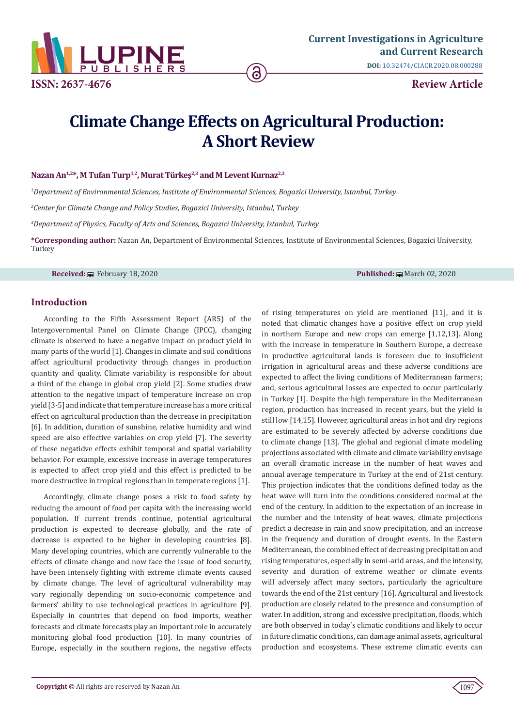

# **Climate Change Effects on Agricultural Production: A Short Review**

ခ

### **Nazan An1,2\*, M Tufan Turp1,2, Murat Türkeş2,3 and M Levent Kurnaz2,3**

*1 Department of Environmental Sciences, Institute of Environmental Sciences, Bogazici University, Istanbul, Turkey* 

*2 Center for Climate Change and Policy Studies, Bogazici University, Istanbul, Turkey*

*3 Department of Physics, Faculty of Arts and Sciences, Bogazici University, Istanbul, Turkey* 

**\*Corresponding author:** Nazan An, Department of Environmental Sciences, Institute of Environmental Sciences, Bogazici University, Turkey

**Received:** February 18, 2020 **Published:** March 02, 2020

## **Introduction**

According to the Fifth Assessment Report (AR5) of the Intergovernmental Panel on Climate Change (IPCC), changing climate is observed to have a negative impact on product yield in many parts of the world [1]. Changes in climate and soil conditions affect agricultural productivity through changes in production quantity and quality. Climate variability is responsible for about a third of the change in global crop yield [2]. Some studies draw attention to the negative impact of temperature increase on crop yield [3-5] and indicate that temperature increase has a more critical effect on agricultural production than the decrease in precipitation [6]. In addition, duration of sunshine, relative humidity and wind speed are also effective variables on crop yield [7]. The severity of these negatidve effects exhibit temporal and spatial variability behavior. For example, excessive increase in average temperatures is expected to affect crop yield and this effect is predicted to be more destructive in tropical regions than in temperate regions [1].

Accordingly, climate change poses a risk to food safety by reducing the amount of food per capita with the increasing world population. If current trends continue, potential agricultural production is expected to decrease globally, and the rate of decrease is expected to be higher in developing countries [8]. Many developing countries, which are currently vulnerable to the effects of climate change and now face the issue of food security, have been intensely fighting with extreme climate events caused by climate change. The level of agricultural vulnerability may vary regionally depending on socio-economic competence and farmers' ability to use technological practices in agriculture [9]. Especially in countries that depend on food imports, weather forecasts and climate forecasts play an important role in accurately monitoring global food production [10]. In many countries of Europe, especially in the southern regions, the negative effects of rising temperatures on yield are mentioned [11], and it is noted that climatic changes have a positive effect on crop yield in northern Europe and new crops can emerge [1,12,13]. Along with the increase in temperature in Southern Europe, a decrease in productive agricultural lands is foreseen due to insufficient irrigation in agricultural areas and these adverse conditions are expected to affect the living conditions of Mediterranean farmers; and, serious agricultural losses are expected to occur particularly in Turkey [1]. Despite the high temperature in the Mediterranean region, production has increased in recent years, but the yield is still low [14,15]. However, agricultural areas in hot and dry regions are estimated to be severely affected by adverse conditions due to climate change [13]. The global and regional climate modeling projections associated with climate and climate variability envisage an overall dramatic increase in the number of heat waves and annual average temperature in Turkey at the end of 21st century. This projection indicates that the conditions defined today as the heat wave will turn into the conditions considered normal at the end of the century. In addition to the expectation of an increase in the number and the intensity of heat waves, climate projections predict a decrease in rain and snow precipitation, and an increase in the frequency and duration of drought events. In the Eastern Mediterranean, the combined effect of decreasing precipitation and rising temperatures, especially in semi-arid areas, and the intensity, severity and duration of extreme weather or climate events will adversely affect many sectors, particularly the agriculture towards the end of the 21st century [16]. Agricultural and livestock production are closely related to the presence and consumption of water. In addition, strong and excessive precipitation, floods, which are both observed in today's climatic conditions and likely to occur in future climatic conditions, can damage animal assets, agricultural production and ecosystems. These extreme climatic events can

1097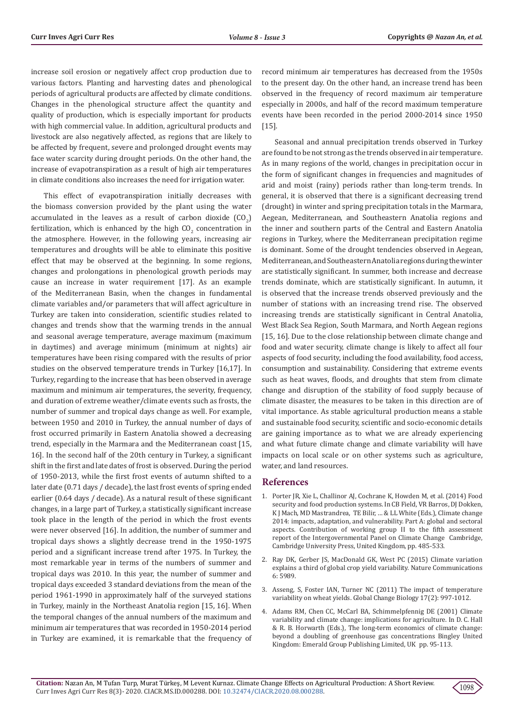increase soil erosion or negatively affect crop production due to various factors. Planting and harvesting dates and phenological periods of agricultural products are affected by climate conditions. Changes in the phenological structure affect the quantity and quality of production, which is especially important for products with high commercial value. In addition, agricultural products and livestock are also negatively affected, as regions that are likely to be affected by frequent, severe and prolonged drought events may face water scarcity during drought periods. On the other hand, the increase of evapotranspiration as a result of high air temperatures in climate conditions also increases the need for irrigation water.

This effect of evapotranspiration initially decreases with the biomass conversion provided by the plant using the water accumulated in the leaves as a result of carbon dioxide  $(CO_2)$ fertilization, which is enhanced by the high  $\mathfrak{co}_2$  concentration in the atmosphere. However, in the following years, increasing air temperatures and droughts will be able to eliminate this positive effect that may be observed at the beginning. In some regions, changes and prolongations in phenological growth periods may cause an increase in water requirement [17]. As an example of the Mediterranean Basin, when the changes in fundamental climate variables and/or parameters that will affect agriculture in Turkey are taken into consideration, scientific studies related to changes and trends show that the warming trends in the annual and seasonal average temperature, average maximum (maximum in daytimes) and average minimum (minimum at nights) air temperatures have been rising compared with the results of prior studies on the observed temperature trends in Turkey [16,17]. In Turkey, regarding to the increase that has been observed in average maximum and minimum air temperatures, the severity, frequency, and duration of extreme weather/climate events such as frosts, the number of summer and tropical days change as well. For example, between 1950 and 2010 in Turkey, the annual number of days of frost occurred primarily in Eastern Anatolia showed a decreasing trend, especially in the Marmara and the Mediterranean coast [15, 16]. In the second half of the 20th century in Turkey, a significant shift in the first and late dates of frost is observed. During the period of 1950-2013, while the first frost events of autumn shifted to a later date (0.71 days / decade), the last frost events of spring ended earlier (0.64 days / decade). As a natural result of these significant changes, in a large part of Turkey, a statistically significant increase took place in the length of the period in which the frost events were never observed [16]. In addition, the number of summer and tropical days shows a slightly decrease trend in the 1950-1975 period and a significant increase trend after 1975. In Turkey, the most remarkable year in terms of the numbers of summer and tropical days was 2010. In this year, the number of summer and tropical days exceeded 3 standard deviations from the mean of the period 1961-1990 in approximately half of the surveyed stations in Turkey, mainly in the Northeast Anatolia region [15, 16]. When the temporal changes of the annual numbers of the maximum and minimum air temperatures that was recorded in 1950-2014 period in Turkey are examined, it is remarkable that the frequency of record minimum air temperatures has decreased from the 1950s to the present day. On the other hand, an increase trend has been observed in the frequency of record maximum air temperature especially in 2000s, and half of the record maximum temperature events have been recorded in the period 2000-2014 since 1950 [15].

Seasonal and annual precipitation trends observed in Turkey are found to be not strong as the trends observed in air temperature. As in many regions of the world, changes in precipitation occur in the form of significant changes in frequencies and magnitudes of arid and moist (rainy) periods rather than long-term trends. In general, it is observed that there is a significant decreasing trend (drought) in winter and spring precipitation totals in the Marmara, Aegean, Mediterranean, and Southeastern Anatolia regions and the inner and southern parts of the Central and Eastern Anatolia regions in Turkey, where the Mediterranean precipitation regime is dominant. Some of the drought tendencies observed in Aegean, Mediterranean, and Southeastern Anatolia regions during the winter are statistically significant. In summer, both increase and decrease trends dominate, which are statistically significant. In autumn, it is observed that the increase trends observed previously and the number of stations with an increasing trend rise. The observed increasing trends are statistically significant in Central Anatolia, West Black Sea Region, South Marmara, and North Aegean regions [15, 16]. Due to the close relationship between climate change and food and water security, climate change is likely to affect all four aspects of food security, including the food availability, food access, consumption and sustainability. Considering that extreme events such as heat waves, floods, and droughts that stem from climate change and disruption of the stability of food supply because of climate disaster, the measures to be taken in this direction are of vital importance. As stable agricultural production means a stable and sustainable food security, scientific and socio-economic details are gaining importance as to what we are already experiencing and what future climate change and climate variability will have impacts on local scale or on other systems such as agriculture, water, and land resources.

### **References**

- 1. Porter JR, Xie L, Challinor AJ, Cochrane K, Howden M, et al. (2014) Food security and food production systems. In CB Field, VR Barros, DJ Dokken, K J Mach, MD Mastrandrea, TE Bilir, … & LL White (Eds.), Climate change 2014: impacts, adaptation, and vulnerability. Part A: global and sectoral aspects. Contribution of working group II to the fifth assessment report of the Intergovernmental Panel on Climate Change Cambridge, Cambridge University Press, United Kingdom, pp. 485-533.
- 2. [Ray DK, Gerber JS, MacDonald GK, West PC \(2015\) Climate variation](https://www.ncbi.nlm.nih.gov/pubmed/25609225) [explains a third of global crop yield variability. Nature Communications](https://www.ncbi.nlm.nih.gov/pubmed/25609225) [6: 5989.](https://www.ncbi.nlm.nih.gov/pubmed/25609225)
- 3. [Asseng, S, Foster IAN, Turner NC \(2011\) The impact of temperature](https://onlinelibrary.wiley.com/doi/abs/10.1111/j.1365-2486.2010.02262.x) [variability on wheat yields. Global Change Biology 17\(2\): 997-1012.](https://onlinelibrary.wiley.com/doi/abs/10.1111/j.1365-2486.2010.02262.x)
- 4. Adams RM, Chen CC, McCarl BA, Schimmelpfennig DE (2001) Climate variability and climate change: implications for agriculture. In D. C. Hall & R. B. Horwarth (Eds.), The long-term economics of climate change: beyond a doubling of greenhouse gas concentrations Bingley United Kingdom: Emerald Group Publishing Limited, UK pp. 95-113.